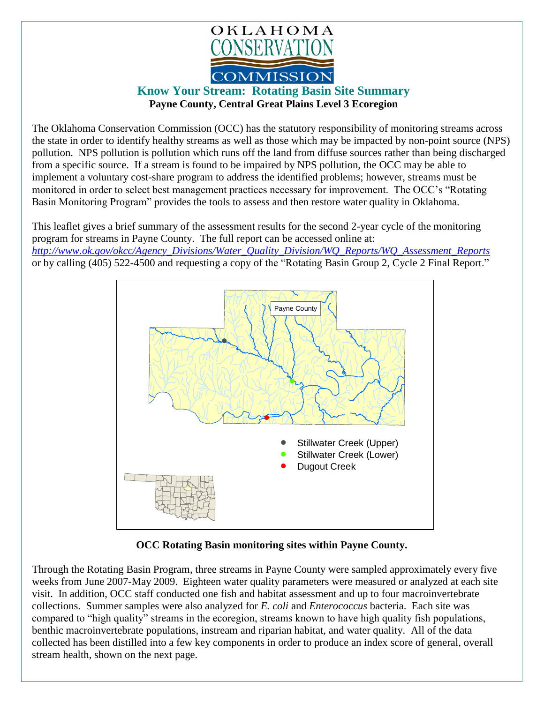

## **Know Your Stream: Rotating Basin Site Summary Payne County, Central Great Plains Level 3 Ecoregion**

The Oklahoma Conservation Commission (OCC) has the statutory responsibility of monitoring streams across the state in order to identify healthy streams as well as those which may be impacted by non-point source (NPS) pollution. NPS pollution is pollution which runs off the land from diffuse sources rather than being discharged from a specific source. If a stream is found to be impaired by NPS pollution, the OCC may be able to implement a voluntary cost-share program to address the identified problems; however, streams must be monitored in order to select best management practices necessary for improvement. The OCC's "Rotating Basin Monitoring Program" provides the tools to assess and then restore water quality in Oklahoma.

This leaflet gives a brief summary of the assessment results for the second 2-year cycle of the monitoring program for streams in Payne County. The full report can be accessed online at: *[http://www.ok.gov/okcc/Agency\\_Divisions/Water\\_Quality\\_Division/WQ\\_Reports/WQ\\_Assessment\\_Reports](http://www.ok.gov/okcc/Agency_Divisions/Water_Quality_Division/WQ_Reports/WQ_Assessment_Reports)* or by calling (405) 522-4500 and requesting a copy of the "Rotating Basin Group 2, Cycle 2 Final Report."



**OCC Rotating Basin monitoring sites within Payne County.**

Through the Rotating Basin Program, three streams in Payne County were sampled approximately every five weeks from June 2007-May 2009. Eighteen water quality parameters were measured or analyzed at each site visit. In addition, OCC staff conducted one fish and habitat assessment and up to four macroinvertebrate collections. Summer samples were also analyzed for *E. coli* and *Enterococcus* bacteria. Each site was compared to "high quality" streams in the ecoregion, streams known to have high quality fish populations, benthic macroinvertebrate populations, instream and riparian habitat, and water quality. All of the data collected has been distilled into a few key components in order to produce an index score of general, overall stream health, shown on the next page.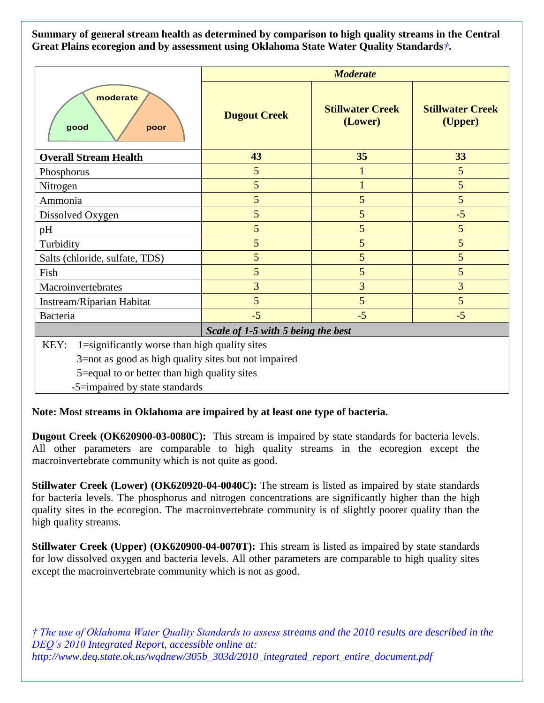**Summary of general stream health as determined by comparison to high quality streams in the Central Great Plains ecoregion and by assessment using Oklahoma State Water Quality Standards***†***.**

|                                                                                                                                                                                                 | <b>Moderate</b>     |                                    |                                    |
|-------------------------------------------------------------------------------------------------------------------------------------------------------------------------------------------------|---------------------|------------------------------------|------------------------------------|
| moderate<br>good<br>poor                                                                                                                                                                        | <b>Dugout Creek</b> | <b>Stillwater Creek</b><br>(Lower) | <b>Stillwater Creek</b><br>(Upper) |
| <b>Overall Stream Health</b>                                                                                                                                                                    | 43                  | 35                                 | 33                                 |
| Phosphorus                                                                                                                                                                                      | 5                   | $\mathbf{1}$                       | 5                                  |
| Nitrogen                                                                                                                                                                                        | 5                   | $\mathbf{1}$                       | 5                                  |
| Ammonia                                                                                                                                                                                         | 5                   | 5                                  | 5                                  |
| Dissolved Oxygen                                                                                                                                                                                | 5                   | 5                                  | $-5$                               |
| pH                                                                                                                                                                                              | 5                   | 5                                  | 5                                  |
| Turbidity                                                                                                                                                                                       | 5                   | 5                                  | 5                                  |
| Salts (chloride, sulfate, TDS)                                                                                                                                                                  | 5                   | 5                                  | 5                                  |
| Fish                                                                                                                                                                                            | 5                   | 5                                  | 5                                  |
| Macroinvertebrates                                                                                                                                                                              | 3                   | 3                                  | $\overline{3}$                     |
| Instream/Riparian Habitat                                                                                                                                                                       | 5                   | 5                                  | 5                                  |
| Bacteria                                                                                                                                                                                        | $-5$                | $-5$                               | $-5$                               |
| Scale of 1-5 with 5 being the best                                                                                                                                                              |                     |                                    |                                    |
| 1=significantly worse than high quality sites<br>KEY:<br>3=not as good as high quality sites but not impaired<br>5=equal to or better than high quality sites<br>-5=impaired by state standards |                     |                                    |                                    |

**Note: Most streams in Oklahoma are impaired by at least one type of bacteria.**

**Dugout Creek (OK620900-03-0080C):** This stream is impaired by state standards for bacteria levels. All other parameters are comparable to high quality streams in the ecoregion except the macroinvertebrate community which is not quite as good.

**Stillwater Creek (Lower) (OK620920-04-0040C):** The stream is listed as impaired by state standards for bacteria levels. The phosphorus and nitrogen concentrations are significantly higher than the high quality sites in the ecoregion. The macroinvertebrate community is of slightly poorer quality than the high quality streams.

**Stillwater Creek (Upper) (OK620900-04-0070T):** This stream is listed as impaired by state standards for low dissolved oxygen and bacteria levels. All other parameters are comparable to high quality sites except the macroinvertebrate community which is not as good.

*† The use of Oklahoma Water Quality Standards to assess streams and the 2010 results are described in the DEQ's 2010 Integrated Report, accessible online at: http://www.deq.state.ok.us/wqdnew/305b\_303d/2010\_integrated\_report\_entire\_document.pdf*